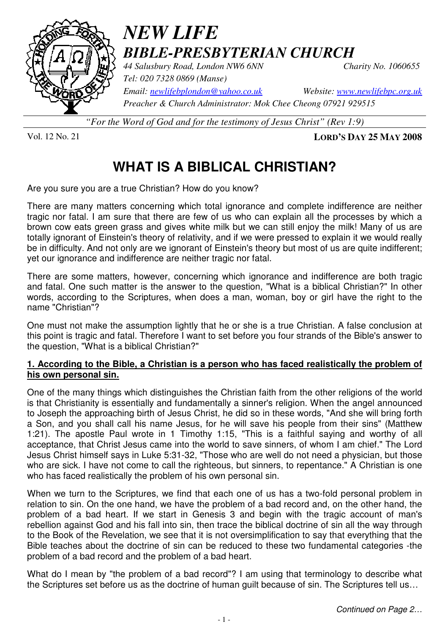

# *NEW LIFE BIBLE-PRESBYTERIAN CHURCH*

*44 Salusbury Road, London NW6 6NN Charity No. 1060655* 

*Tel: 020 7328 0869 (Manse)* 

*Email: newlifebplondon@yahoo.co.uk Website: www.newlifebpc.org.uk Preacher & Church Administrator: Mok Chee Cheong 07921 929515* 

*"For the Word of God and for the testimony of Jesus Christ" (Rev 1:9)*

Vol. 12 No. 21 **LORD'S DAY 25 MAY 2008**

## **WHAT IS A BIBLICAL CHRISTIAN?**

Are you sure you are a true Christian? How do you know?

There are many matters concerning which total ignorance and complete indifference are neither tragic nor fatal. I am sure that there are few of us who can explain all the processes by which a brown cow eats green grass and gives white milk but we can still enjoy the milk! Many of us are totally ignorant of Einstein's theory of relativity, and if we were pressed to explain it we would really be in difficulty. And not only are we ignorant of Einstein's theory but most of us are quite indifferent; vet our ignorance and indifference are neither tragic nor fatal.

There are some matters, however, concerning which ignorance and indifference are both tragic and fatal. One such matter is the answer to the question, "What is a biblical Christian?" In other words, according to the Scriptures, when does a man, woman, boy or girl have the right to the name "Christian"?

One must not make the assumption lightly that he or she is a true Christian. A false conclusion at this point is tragic and fatal. Therefore I want to set before you four strands of the Bible's answer to the question, "What is a biblical Christian?"

#### **1. According to the Bible, a Christian is a person who has faced realistically the problem of his own personal sin.**

One of the many things which distinguishes the Christian faith from the other religions of the world is that Christianity is essentially and fundamentally a sinner's religion. When the angel announced to Joseph the approaching birth of Jesus Christ, he did so in these words, "And she will bring forth a Son, and you shall call his name Jesus, for he will save his people from their sins" (Matthew 1:21). The apostle Paul wrote in 1 Timothy 1:15, "This is a faithful saying and worthy of all acceptance, that Christ Jesus came into the world to save sinners, of whom I am chief." The Lord Jesus Christ himself says in Luke 5:31-32, "Those who are well do not need a physician, but those who are sick. I have not come to call the righteous, but sinners, to repentance." A Christian is one who has faced realistically the problem of his own personal sin.

When we turn to the Scriptures, we find that each one of us has a two-fold personal problem in relation to sin. On the one hand, we have the problem of a bad record and, on the other hand, the problem of a bad heart. If we start in Genesis 3 and begin with the tragic account of man's rebellion against God and his fall into sin, then trace the biblical doctrine of sin all the way through to the Book of the Revelation, we see that it is not oversimplification to say that everything that the Bible teaches about the doctrine of sin can be reduced to these two fundamental categories -the problem of a bad record and the problem of a bad heart.

What do I mean by "the problem of a bad record"? I am using that terminology to describe what the Scriptures set before us as the doctrine of human guilt because of sin. The Scriptures tell us…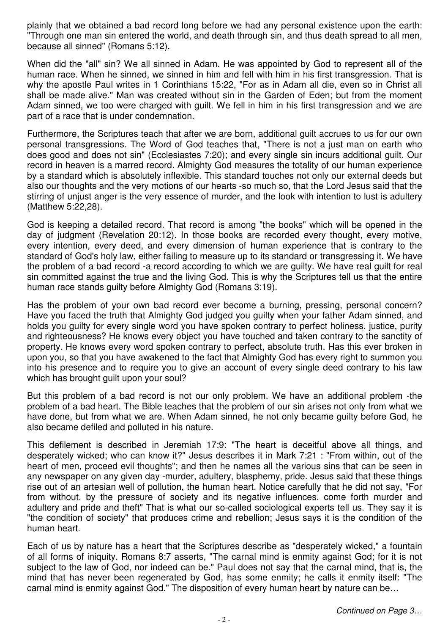plainly that we obtained a bad record long before we had any personal existence upon the earth: "Through one man sin entered the world, and death through sin, and thus death spread to all men, because all sinned" (Romans 5:12).

When did the "all" sin? We all sinned in Adam. He was appointed by God to represent all of the human race. When he sinned, we sinned in him and fell with him in his first transgression. That is why the apostle Paul writes in 1 Corinthians 15:22, "For as in Adam all die, even so in Christ all shall be made alive." Man was created without sin in the Garden of Eden; but from the moment Adam sinned, we too were charged with guilt. We fell in him in his first transgression and we are part of a race that is under condemnation.

Furthermore, the Scriptures teach that after we are born, additional guilt accrues to us for our own personal transgressions. The Word of God teaches that, "There is not a just man on earth who does good and does not sin" (Ecclesiastes 7:20); and every single sin incurs additional guilt. Our record in heaven is a marred record. Almighty God measures the totality of our human experience by a standard which is absolutely inflexible. This standard touches not only our external deeds but also our thoughts and the very motions of our hearts -so much so, that the Lord Jesus said that the stirring of unjust anger is the very essence of murder, and the look with intention to lust is adultery (Matthew 5:22,28).

God is keeping a detailed record. That record is among "the books" which will be opened in the day of judgment (Revelation 20:12). In those books are recorded every thought, every motive, every intention, every deed, and every dimension of human experience that is contrary to the standard of God's holy law, either failing to measure up to its standard or transgressing it. We have the problem of a bad record -a record according to which we are guilty. We have real guilt for real sin committed against the true and the living God. This is why the Scriptures tell us that the entire human race stands guilty before Almighty God (Romans 3:19).

Has the problem of your own bad record ever become a burning, pressing, personal concern? Have you faced the truth that Almighty God judged you guilty when your father Adam sinned, and holds you guilty for every single word you have spoken contrary to perfect holiness, justice, purity and righteousness? He knows every object you have touched and taken contrary to the sanctity of property. He knows every word spoken contrary to perfect, absolute truth. Has this ever broken in upon you, so that you have awakened to the fact that Almighty God has every right to summon you into his presence and to require you to give an account of every single deed contrary to his law which has brought guilt upon your soul?

But this problem of a bad record is not our only problem. We have an additional problem -the problem of a bad heart. The Bible teaches that the problem of our sin arises not only from what we have done, but from what we are. When Adam sinned, he not only became guilty before God, he also became defiled and polluted in his nature.

This defilement is described in Jeremiah 17:9: "The heart is deceitful above all things, and desperately wicked; who can know it?" Jesus describes it in Mark 7:21 : "From within, out of the heart of men, proceed evil thoughts"; and then he names all the various sins that can be seen in any newspaper on any given day -murder, adultery, blasphemy, pride. Jesus said that these things rise out of an artesian well of pollution, the human heart. Notice carefully that he did not say, "For from without, by the pressure of society and its negative influences, come forth murder and adultery and pride and theft" That is what our so-called sociological experts tell us. They say it is "the condition of society" that produces crime and rebellion; Jesus says it is the condition of the human heart.

Each of us by nature has a heart that the Scriptures describe as "desperately wicked," a fountain of all forms of iniquity. Romans 8:7 asserts, "The carnal mind is enmity against God; for it is not subject to the law of God, nor indeed can be." Paul does not say that the carnal mind, that is, the mind that has never been regenerated by God, has some enmity; he calls it enmity itself: "The carnal mind is enmity against God." The disposition of every human heart by nature can be…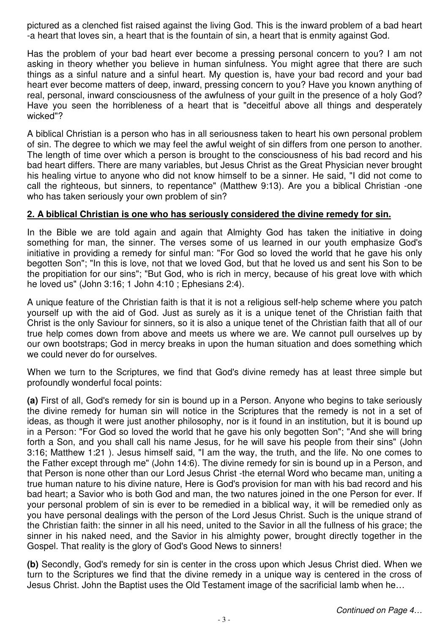pictured as a clenched fist raised against the living God. This is the inward problem of a bad heart -a heart that loves sin, a heart that is the fountain of sin, a heart that is enmity against God.

Has the problem of your bad heart ever become a pressing personal concern to you? I am not asking in theory whether you believe in human sinfulness. You might agree that there are such things as a sinful nature and a sinful heart. My question is, have your bad record and your bad heart ever become matters of deep, inward, pressing concern to you? Have you known anything of real, personal, inward consciousness of the awfulness of your guilt in the presence of a holy God? Have you seen the horribleness of a heart that is "deceitful above all things and desperately wicked"?

A biblical Christian is a person who has in all seriousness taken to heart his own personal problem of sin. The degree to which we may feel the awful weight of sin differs from one person to another. The length of time over which a person is brought to the consciousness of his bad record and his bad heart differs. There are many variables, but Jesus Christ as the Great Physician never brought his healing virtue to anyone who did not know himself to be a sinner. He said, "I did not come to call the righteous, but sinners, to repentance" (Matthew 9:13). Are you a biblical Christian -one who has taken seriously your own problem of sin?

#### **2. A biblical Christian is one who has seriously considered the divine remedy for sin.**

In the Bible we are told again and again that Almighty God has taken the initiative in doing something for man, the sinner. The verses some of us learned in our youth emphasize God's initiative in providing a remedy for sinful man: "For God so loved the world that he gave his only begotten Son"; "In this is love, not that we loved God, but that he loved us and sent his Son to be the propitiation for our sins"; "But God, who is rich in mercy, because of his great love with which he loved us" (John 3:16; 1 John 4:10 ; Ephesians 2:4).

A unique feature of the Christian faith is that it is not a religious self-help scheme where you patch yourself up with the aid of God. Just as surely as it is a unique tenet of the Christian faith that Christ is the only Saviour for sinners, so it is also a unique tenet of the Christian faith that all of our true help comes down from above and meets us where we are. We cannot pull ourselves up by our own bootstraps; God in mercy breaks in upon the human situation and does something which we could never do for ourselves.

When we turn to the Scriptures, we find that God's divine remedy has at least three simple but profoundly wonderful focal points:

**(a)** First of all, God's remedy for sin is bound up in a Person. Anyone who begins to take seriously the divine remedy for human sin will notice in the Scriptures that the remedy is not in a set of ideas, as though it were just another philosophy, nor is it found in an institution, but it is bound up in a Person: "For God so loved the world that he gave his only begotten Son"; "And she will bring forth a Son, and you shall call his name Jesus, for he will save his people from their sins" (John 3:16; Matthew 1:21 ). Jesus himself said, "I am the way, the truth, and the life. No one comes to the Father except through me" (John 14:6). The divine remedy for sin is bound up in a Person, and that Person is none other than our Lord Jesus Christ -the eternal Word who became man, uniting a true human nature to his divine nature, Here is God's provision for man with his bad record and his bad heart; a Savior who is both God and man, the two natures joined in the one Person for ever. If your personal problem of sin is ever to be remedied in a biblical way, it will be remedied only as you have personal dealings with the person of the Lord Jesus Christ. Such is the unique strand of the Christian faith: the sinner in all his need, united to the Savior in all the fullness of his grace; the sinner in his naked need, and the Savior in his almighty power, brought directly together in the Gospel. That reality is the glory of God's Good News to sinners!

**(b)** Secondly, God's remedy for sin is center in the cross upon which Jesus Christ died. When we turn to the Scriptures we find that the divine remedy in a unique way is centered in the cross of Jesus Christ. John the Baptist uses the Old Testament image of the sacrificial lamb when he…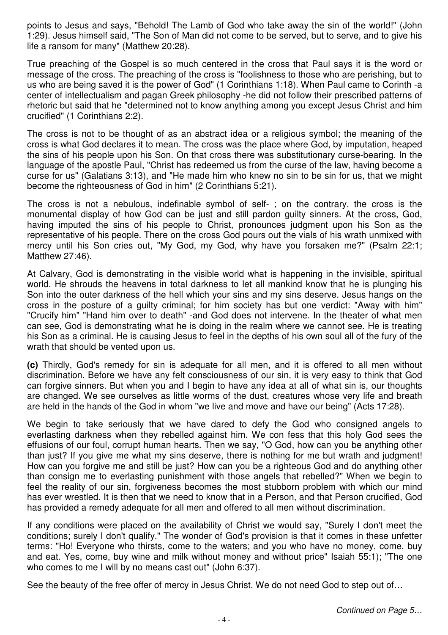points to Jesus and says, "Behold! The Lamb of God who take away the sin of the world!" (John 1:29). Jesus himself said, "The Son of Man did not come to be served, but to serve, and to give his life a ransom for many" (Matthew 20:28).

True preaching of the Gospel is so much centered in the cross that Paul says it is the word or message of the cross. The preaching of the cross is "foolishness to those who are perishing, but to us who are being saved it is the power of God" (1 Corinthians 1:18). When Paul came to Corinth -a center of intellectualism and pagan Greek philosophy -he did not follow their prescribed patterns of rhetoric but said that he "determined not to know anything among you except Jesus Christ and him crucified" (1 Corinthians 2:2).

The cross is not to be thought of as an abstract idea or a religious symbol; the meaning of the cross is what God declares it to mean. The cross was the place where God, by imputation, heaped the sins of his people upon his Son. On that cross there was substitutionary curse-bearing. In the language of the apostle Paul, "Christ has redeemed us from the curse of the law, having become a curse for us" (Galatians 3:13), and "He made him who knew no sin to be sin for us, that we might become the righteousness of God in him" (2 Corinthians 5:21).

The cross is not a nebulous, indefinable symbol of self- ; on the contrary, the cross is the monumental display of how God can be just and still pardon guilty sinners. At the cross, God, having imputed the sins of his people to Christ, pronounces judgment upon his Son as the representative of his people. There on the cross God pours out the vials of his wrath unmixed with mercy until his Son cries out, "My God, my God, why have you forsaken me?" (Psalm 22:1; Matthew 27:46).

At Calvary, God is demonstrating in the visible world what is happening in the invisible, spiritual world. He shrouds the heavens in total darkness to let all mankind know that he is plunging his Son into the outer darkness of the hell which your sins and my sins deserve. Jesus hangs on the cross in the posture of a guilty criminal; for him society has but one verdict: "Away with him" "Crucify him" "Hand him over to death" -and God does not intervene. In the theater of what men can see, God is demonstrating what he is doing in the realm where we cannot see. He is treating his Son as a criminal. He is causing Jesus to feel in the depths of his own soul all of the fury of the wrath that should be vented upon us.

**(c)** Thirdly, God's remedy for sin is adequate for all men, and it is offered to all men without discrimination. Before we have any felt consciousness of our sin, it is very easy to think that God can forgive sinners. But when you and I begin to have any idea at all of what sin is, our thoughts are changed. We see ourselves as little worms of the dust, creatures whose very life and breath are held in the hands of the God in whom "we live and move and have our being" (Acts 17:28).

We begin to take seriously that we have dared to defy the God who consigned angels to everlasting darkness when they rebelled against him. We con fess that this holy God sees the effusions of our foul, corrupt human hearts. Then we say, "O God, how can you be anything other than just? If you give me what my sins deserve, there is nothing for me but wrath and judgment! How can you forgive me and still be just? How can you be a righteous God and do anything other than consign me to everlasting punishment with those angels that rebelled?" When we begin to feel the reality of our sin, forgiveness becomes the most stubborn problem with which our mind has ever wrestled. It is then that we need to know that in a Person, and that Person crucified, God has provided a remedy adequate for all men and offered to all men without discrimination.

If any conditions were placed on the availability of Christ we would say, "Surely I don't meet the conditions; surely I don't qualify." The wonder of God's provision is that it comes in these unfetter terms: "Ho! Everyone who thirsts, come to the waters; and you who have no money, come, buy and eat. Yes, come, buy wine and milk without money and without price" Isaiah 55:1); "The one who comes to me I will by no means cast out" (John 6:37).

See the beauty of the free offer of mercy in Jesus Christ. We do not need God to step out of…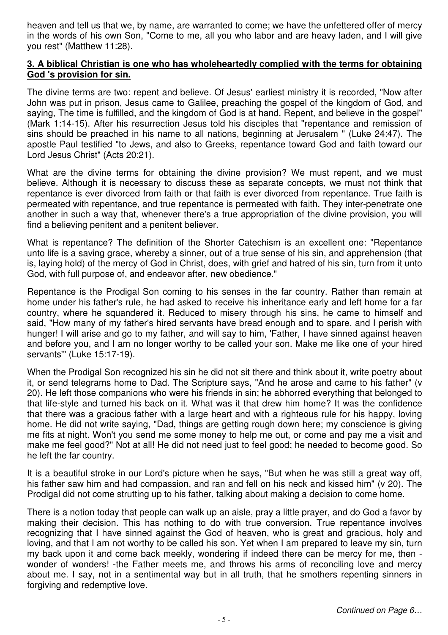heaven and tell us that we, by name, are warranted to come; we have the unfettered offer of mercy in the words of his own Son, "Come to me, all you who labor and are heavy laden, and I will give you rest" (Matthew 11:28).

#### **3. A biblical Christian is one who has wholeheartedly complied with the terms for obtaining God 's provision for sin.**

The divine terms are two: repent and believe. Of Jesus' earliest ministry it is recorded, "Now after John was put in prison, Jesus came to Galilee, preaching the gospel of the kingdom of God, and saying, The time is fulfilled, and the kingdom of God is at hand. Repent, and believe in the gospel" (Mark 1:14-15). After his resurrection Jesus told his disciples that "repentance and remission of sins should be preached in his name to all nations, beginning at Jerusalem " (Luke 24:47). The apostle Paul testified "to Jews, and also to Greeks, repentance toward God and faith toward our Lord Jesus Christ" (Acts 20:21).

What are the divine terms for obtaining the divine provision? We must repent, and we must believe. Although it is necessary to discuss these as separate concepts, we must not think that repentance is ever divorced from faith or that faith is ever divorced from repentance. True faith is permeated with repentance, and true repentance is permeated with faith. They inter-penetrate one another in such a way that, whenever there's a true appropriation of the divine provision, you will find a believing penitent and a penitent believer.

What is repentance? The definition of the Shorter Catechism is an excellent one: "Repentance unto life is a saving grace, whereby a sinner, out of a true sense of his sin, and apprehension (that is, laying hold) of the mercy of God in Christ, does, with grief and hatred of his sin, turn from it unto God, with full purpose of, and endeavor after, new obedience."

Repentance is the Prodigal Son coming to his senses in the far country. Rather than remain at home under his father's rule, he had asked to receive his inheritance early and left home for a far country, where he squandered it. Reduced to misery through his sins, he came to himself and said, "How many of my father's hired servants have bread enough and to spare, and I perish with hunger! I will arise and go to my father, and will say to him, 'Father, I have sinned against heaven and before you, and I am no longer worthy to be called your son. Make me like one of your hired servants'" (Luke 15:17-19).

When the Prodigal Son recognized his sin he did not sit there and think about it, write poetry about it, or send telegrams home to Dad. The Scripture says, "And he arose and came to his father" (v 20). He left those companions who were his friends in sin; he abhorred everything that belonged to that life-style and turned his back on it. What was it that drew him home? It was the confidence that there was a gracious father with a large heart and with a righteous rule for his happy, loving home. He did not write saying, "Dad, things are getting rough down here; my conscience is giving me fits at night. Won't you send me some money to help me out, or come and pay me a visit and make me feel good?" Not at all! He did not need just to feel good; he needed to become good. So he left the far country.

It is a beautiful stroke in our Lord's picture when he says, "But when he was still a great way off, his father saw him and had compassion, and ran and fell on his neck and kissed him" (v 20). The Prodigal did not come strutting up to his father, talking about making a decision to come home.

There is a notion today that people can walk up an aisle, pray a little prayer, and do God a favor by making their decision. This has nothing to do with true conversion. True repentance involves recognizing that I have sinned against the God of heaven, who is great and gracious, holy and loving, and that I am not worthy to be called his son. Yet when I am prepared to leave my sin, turn my back upon it and come back meekly, wondering if indeed there can be mercy for me, then wonder of wonders! -the Father meets me, and throws his arms of reconciling love and mercy about me. I say, not in a sentimental way but in all truth, that he smothers repenting sinners in forgiving and redemptive love.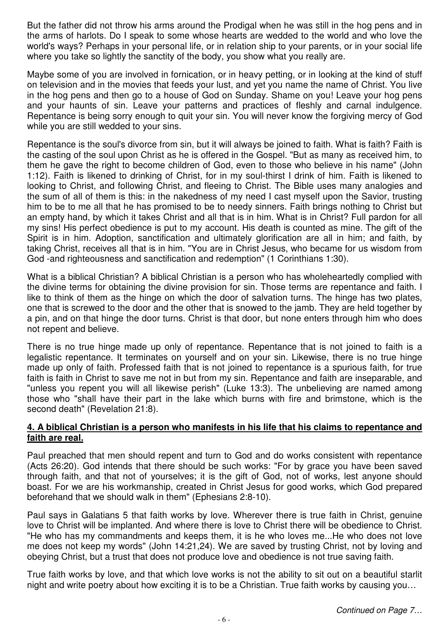But the father did not throw his arms around the Prodigal when he was still in the hog pens and in the arms of harlots. Do I speak to some whose hearts are wedded to the world and who love the world's ways? Perhaps in your personal life, or in relation ship to your parents, or in your social life where you take so lightly the sanctity of the body, you show what you really are.

Maybe some of you are involved in fornication, or in heavy petting, or in looking at the kind of stuff on television and in the movies that feeds your lust, and yet you name the name of Christ. You live in the hog pens and then go to a house of God on Sunday. Shame on you! Leave your hog pens and your haunts of sin. Leave your patterns and practices of fleshly and carnal indulgence. Repentance is being sorry enough to quit your sin. You will never know the forgiving mercy of God while you are still wedded to your sins.

Repentance is the soul's divorce from sin, but it will always be joined to faith. What is faith? Faith is the casting of the soul upon Christ as he is offered in the Gospel. "But as many as received him, to them he gave the right to become children of God, even to those who believe in his name" (John 1:12). Faith is likened to drinking of Christ, for in my soul-thirst I drink of him. Faith is likened to looking to Christ, and following Christ, and fleeing to Christ. The Bible uses many analogies and the sum of all of them is this: in the nakedness of my need I cast myself upon the Savior, trusting him to be to me all that he has promised to be to needy sinners. Faith brings nothing to Christ but an empty hand, by which it takes Christ and all that is in him. What is in Christ? Full pardon for all my sins! His perfect obedience is put to my account. His death is counted as mine. The gift of the Spirit is in him. Adoption, sanctification and ultimately glorification are all in him; and faith, by taking Christ, receives all that is in him. "You are in Christ Jesus, who became for us wisdom from God -and righteousness and sanctification and redemption" (1 Corinthians 1:30).

What is a biblical Christian? A biblical Christian is a person who has wholeheartedly complied with the divine terms for obtaining the divine provision for sin. Those terms are repentance and faith. I like to think of them as the hinge on which the door of salvation turns. The hinge has two plates, one that is screwed to the door and the other that is snowed to the jamb. They are held together by a pin, and on that hinge the door turns. Christ is that door, but none enters through him who does not repent and believe.

There is no true hinge made up only of repentance. Repentance that is not joined to faith is a legalistic repentance. It terminates on yourself and on your sin. Likewise, there is no true hinge made up only of faith. Professed faith that is not joined to repentance is a spurious faith, for true faith is faith in Christ to save me not in but from my sin. Repentance and faith are inseparable, and "unless you repent you will all likewise perish" (Luke 13:3). The unbelieving are named among those who "shall have their part in the lake which burns with fire and brimstone, which is the second death" (Revelation 21:8).

#### **4. A biblical Christian is a person who manifests in his life that his claims to repentance and faith are real.**

Paul preached that men should repent and turn to God and do works consistent with repentance (Acts 26:20). God intends that there should be such works: "For by grace you have been saved through faith, and that not of yourselves; it is the gift of God, not of works, lest anyone should boast. For we are his workmanship, created in Christ Jesus for good works, which God prepared beforehand that we should walk in them" (Ephesians 2:8-10).

Paul says in Galatians 5 that faith works by love. Wherever there is true faith in Christ, genuine love to Christ will be implanted. And where there is love to Christ there will be obedience to Christ. "He who has my commandments and keeps them, it is he who loves me...He who does not love me does not keep my words" (John 14:21,24). We are saved by trusting Christ, not by loving and obeying Christ, but a trust that does not produce love and obedience is not true saving faith.

True faith works by love, and that which love works is not the ability to sit out on a beautiful starlit night and write poetry about how exciting it is to be a Christian. True faith works by causing you…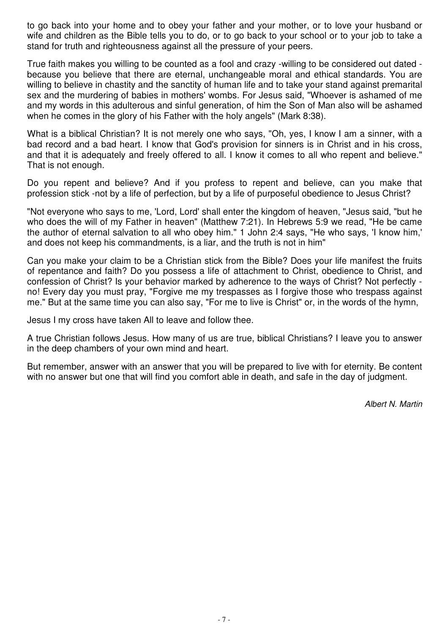to go back into your home and to obey your father and your mother, or to love your husband or wife and children as the Bible tells you to do, or to go back to your school or to your job to take a stand for truth and righteousness against all the pressure of your peers.

True faith makes you willing to be counted as a fool and crazy -willing to be considered out dated because you believe that there are eternal, unchangeable moral and ethical standards. You are willing to believe in chastity and the sanctity of human life and to take your stand against premarital sex and the murdering of babies in mothers' wombs. For Jesus said, "Whoever is ashamed of me and my words in this adulterous and sinful generation, of him the Son of Man also will be ashamed when he comes in the glory of his Father with the holy angels" (Mark 8:38).

What is a biblical Christian? It is not merely one who says, "Oh, yes, I know I am a sinner, with a bad record and a bad heart. I know that God's provision for sinners is in Christ and in his cross, and that it is adequately and freely offered to all. I know it comes to all who repent and believe." That is not enough.

Do you repent and believe? And if you profess to repent and believe, can you make that profession stick -not by a life of perfection, but by a life of purposeful obedience to Jesus Christ?

"Not everyone who says to me, 'Lord, Lord' shall enter the kingdom of heaven, "Jesus said, "but he who does the will of my Father in heaven" (Matthew 7:21). In Hebrews 5:9 we read, "He be came the author of eternal salvation to all who obey him." 1 John 2:4 says, "He who says, 'I know him,' and does not keep his commandments, is a liar, and the truth is not in him"

Can you make your claim to be a Christian stick from the Bible? Does your life manifest the fruits of repentance and faith? Do you possess a life of attachment to Christ, obedience to Christ, and confession of Christ? Is your behavior marked by adherence to the ways of Christ? Not perfectly no! Every day you must pray, "Forgive me my trespasses as I forgive those who trespass against me." But at the same time you can also say, "For me to live is Christ" or, in the words of the hymn,

Jesus I my cross have taken All to leave and follow thee.

A true Christian follows Jesus. How many of us are true, biblical Christians? I leave you to answer in the deep chambers of your own mind and heart.

But remember, answer with an answer that you will be prepared to live with for eternity. Be content with no answer but one that will find you comfort able in death, and safe in the day of judgment.

Albert N. Martin